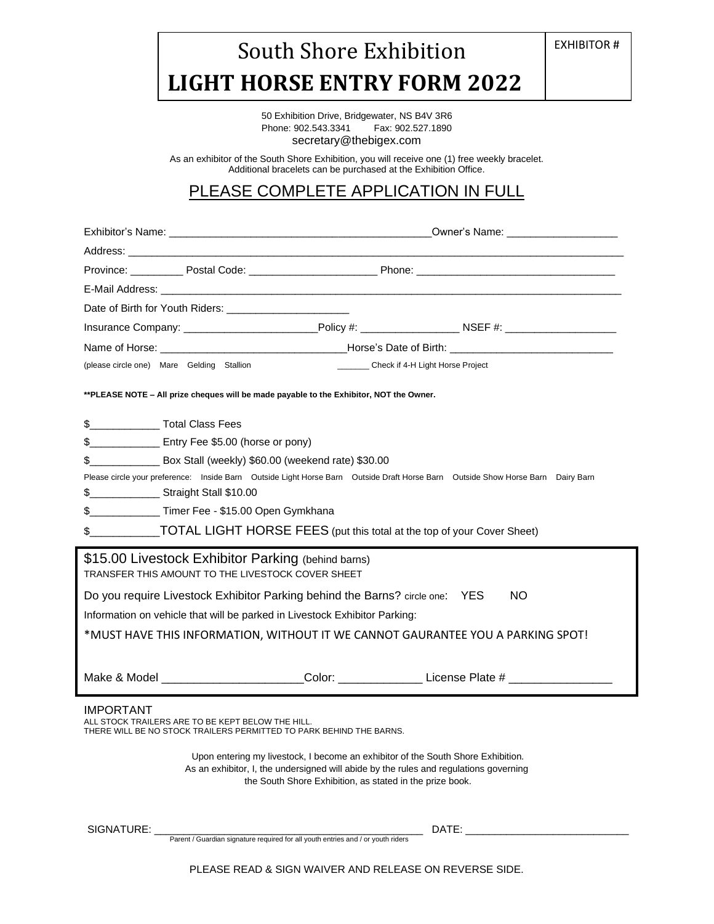## South Shore Exhibition  **LIGHT HORSE ENTRY FORM 2022**

EXHIBITOR #

50 Exhibition Drive, Bridgewater, NS B4V 3R6<br>Phone: 902.543.3341 Fax: 902.527.1890 Phone: 902.543.3341 secretary@thebigex.com

As an exhibitor of the South Shore Exhibition, you will receive one (1) free weekly bracelet. Additional bracelets can be purchased at the Exhibition Office.

## PLEASE COMPLETE APPLICATION IN FULL

| Address: the contract of the contract of the contract of the contract of the contract of the contract of the contract of the contract of the contract of the contract of the contract of the contract of the contract of the c        |                                                                                                                                                                                                                                |  |  |
|---------------------------------------------------------------------------------------------------------------------------------------------------------------------------------------------------------------------------------------|--------------------------------------------------------------------------------------------------------------------------------------------------------------------------------------------------------------------------------|--|--|
|                                                                                                                                                                                                                                       |                                                                                                                                                                                                                                |  |  |
|                                                                                                                                                                                                                                       |                                                                                                                                                                                                                                |  |  |
| Date of Birth for Youth Riders:                                                                                                                                                                                                       |                                                                                                                                                                                                                                |  |  |
|                                                                                                                                                                                                                                       |                                                                                                                                                                                                                                |  |  |
|                                                                                                                                                                                                                                       |                                                                                                                                                                                                                                |  |  |
| (please circle one) Mare Gelding Stallion                                                                                                                                                                                             | __________ Check if 4-H Light Horse Project                                                                                                                                                                                    |  |  |
| **PLEASE NOTE - All prize cheques will be made payable to the Exhibitor, NOT the Owner.                                                                                                                                               |                                                                                                                                                                                                                                |  |  |
| \$___________________Total Class Fees                                                                                                                                                                                                 |                                                                                                                                                                                                                                |  |  |
| \$__________________ Entry Fee \$5.00 (horse or pony)                                                                                                                                                                                 |                                                                                                                                                                                                                                |  |  |
| \$___________________ Box Stall (weekly) \$60.00 (weekend rate) \$30.00                                                                                                                                                               |                                                                                                                                                                                                                                |  |  |
|                                                                                                                                                                                                                                       | Please circle your preference: Inside Barn Outside Light Horse Barn Outside Draft Horse Barn Outside Show Horse Barn Dairy Barn                                                                                                |  |  |
| \$______________________ Straight Stall \$10.00                                                                                                                                                                                       |                                                                                                                                                                                                                                |  |  |
| \$ _______________ Timer Fee - \$15.00 Open Gymkhana                                                                                                                                                                                  |                                                                                                                                                                                                                                |  |  |
|                                                                                                                                                                                                                                       | \$_____________TOTAL LIGHT HORSE FEES (put this total at the top of your Cover Sheet)                                                                                                                                          |  |  |
| \$15.00 Livestock Exhibitor Parking (behind barns)<br>TRANSFER THIS AMOUNT TO THE LIVESTOCK COVER SHEET                                                                                                                               |                                                                                                                                                                                                                                |  |  |
| Do you require Livestock Exhibitor Parking behind the Barns? circle one: YES                                                                                                                                                          | NO.                                                                                                                                                                                                                            |  |  |
| Information on vehicle that will be parked in Livestock Exhibitor Parking:                                                                                                                                                            |                                                                                                                                                                                                                                |  |  |
| *MUST HAVE THIS INFORMATION, WITHOUT IT WE CANNOT GAURANTEE YOU A PARKING SPOT!                                                                                                                                                       |                                                                                                                                                                                                                                |  |  |
|                                                                                                                                                                                                                                       | Make & Model ________________________Color: _________________License Plate # ______________________                                                                                                                            |  |  |
| <b>IMPORTANT</b><br>ALL STOCK TRAILERS ARE TO BE KEPT BELOW THE HILL.<br>THERE WILL BE NO STOCK TRAILERS PERMITTED TO PARK BEHIND THE BARNS.                                                                                          |                                                                                                                                                                                                                                |  |  |
| Upon entering my livestock, I become an exhibitor of the South Shore Exhibition.<br>As an exhibitor, I, the undersigned will abide by the rules and regulations governing<br>the South Shore Exhibition, as stated in the prize book. |                                                                                                                                                                                                                                |  |  |
| SIGNATURE:                                                                                                                                                                                                                            | DATE: the contract of the contract of the contract of the contract of the contract of the contract of the contract of the contract of the contract of the contract of the contract of the contract of the contract of the cont |  |  |

PLEASE READ & SIGN WAIVER AND RELEASE ON REVERSE SIDE.